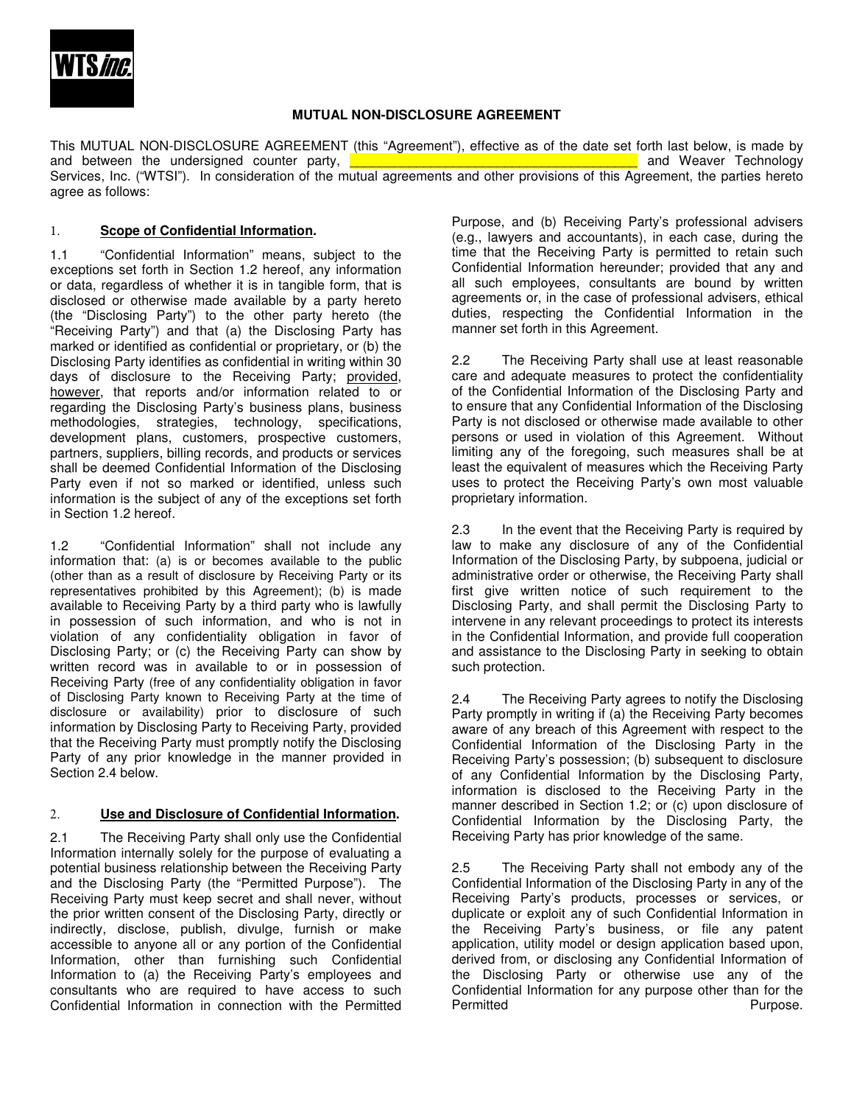

### **MUTUAL NON-DISCLOSURE AGREEMENT**

This MUTUAL NON-DISCLOSURE AGREEMENT (this "Agreement"), effective as of the date set forth last below, is made by and between the undersigned counter party, **Exercise 20 and Security and Weaver Technology** Services, Inc. ("WTSI"). In consideration of the mutual agreements and other provisions of this Agreement, the parties hereto agree as follows:

## 1. **Scope of Confidential Information.**

1.1 "Confidential Information" means, subject to the exceptions set forth in Section 1.2 hereof, any information or data, regardless of whether it is in tangible form, that is disclosed or otherwise made available by a party hereto (the "Disclosing Party") to the other party hereto (the "Receiving Party") and that (a) the Disclosing Party has marked or identified as confidential or proprietary, or (b) the Disclosing Party identifies as confidential in writing within 30 days of disclosure to the Receiving Party; provided, however, that reports and/or information related to or regarding the Disclosing Party's business plans, business methodologies, strategies, technology, specifications, development plans, customers, prospective customers, partners, suppliers, billing records, and products or services shall be deemed Confidential Information of the Disclosing Party even if not so marked or identified, unless such information is the subject of any of the exceptions set forth in Section 1.2 hereof.

1.2 "Confidential Information" shall not include any information that: (a) is or becomes available to the public (other than as a result of disclosure by Receiving Party or its representatives prohibited by this Agreement); (b) is made available to Receiving Party by a third party who is lawfully in possession of such information, and who is not in violation of any confidentiality obligation in favor of Disclosing Party; or (c) the Receiving Party can show by written record was in available to or in possession of Receiving Party (free of any confidentiality obligation in favor of Disclosing Party known to Receiving Party at the time of disclosure or availability) prior to disclosure of such information by Disclosing Party to Receiving Party, provided that the Receiving Party must promptly notify the Disclosing Party of any prior knowledge in the manner provided in Section 2.4 below.

# 2. **Use and Disclosure of Confidential Information.**

2.1 The Receiving Party shall only use the Confidential Information internally solely for the purpose of evaluating a potential business relationship between the Receiving Party and the Disclosing Party (the "Permitted Purpose"). The Receiving Party must keep secret and shall never, without the prior written consent of the Disclosing Party, directly or indirectly, disclose, publish, divulge, furnish or make accessible to anyone all or any portion of the Confidential Information, other than furnishing such Confidential Information to (a) the Receiving Party's employees and consultants who are required to have access to such Confidential Information in connection with the Permitted

Purpose, and (b) Receiving Party's professional advisers (e.g., lawyers and accountants), in each case, during the time that the Receiving Party is permitted to retain such Confidential Information hereunder; provided that any and all such employees, consultants are bound by written agreements or, in the case of professional advisers, ethical duties, respecting the Confidential Information in the manner set forth in this Agreement.

2.2 The Receiving Party shall use at least reasonable care and adequate measures to protect the confidentiality of the Confidential Information of the Disclosing Party and to ensure that any Confidential Information of the Disclosing Party is not disclosed or otherwise made available to other persons or used in violation of this Agreement. Without limiting any of the foregoing, such measures shall be at least the equivalent of measures which the Receiving Party uses to protect the Receiving Party's own most valuable proprietary information.

2.3 In the event that the Receiving Party is required by law to make any disclosure of any of the Confidential Information of the Disclosing Party, by subpoena, judicial or administrative order or otherwise, the Receiving Party shall first give written notice of such requirement to the Disclosing Party, and shall permit the Disclosing Party to intervene in any relevant proceedings to protect its interests in the Confidential Information, and provide full cooperation and assistance to the Disclosing Party in seeking to obtain such protection.

2.4 The Receiving Party agrees to notify the Disclosing Party promptly in writing if (a) the Receiving Party becomes aware of any breach of this Agreement with respect to the Confidential Information of the Disclosing Party in the Receiving Party's possession; (b) subsequent to disclosure of any Confidential Information by the Disclosing Party, information is disclosed to the Receiving Party in the manner described in Section 1.2; or (c) upon disclosure of Confidential Information by the Disclosing Party, the Receiving Party has prior knowledge of the same.

2.5 The Receiving Party shall not embody any of the Confidential Information of the Disclosing Party in any of the Receiving Party's products, processes or services, or duplicate or exploit any of such Confidential Information in the Receiving Party's business, or file any patent application, utility model or design application based upon, derived from, or disclosing any Confidential Information of the Disclosing Party or otherwise use any of the Confidential Information for any purpose other than for the Purpose.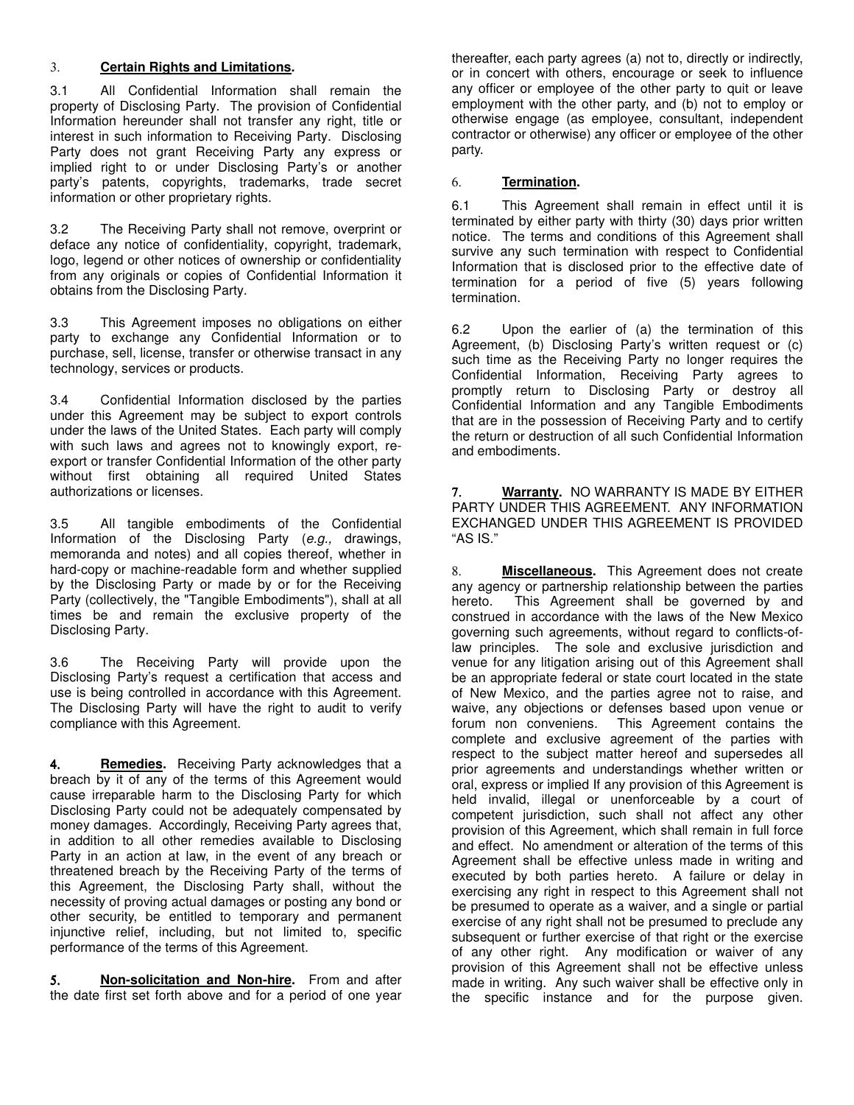### 3. **Certain Rights and Limitations.**

3.1 All Confidential Information shall remain the property of Disclosing Party. The provision of Confidential Information hereunder shall not transfer any right, title or interest in such information to Receiving Party. Disclosing Party does not grant Receiving Party any express or implied right to or under Disclosing Party's or another party's patents, copyrights, trademarks, trade secret information or other proprietary rights.

3.2 The Receiving Party shall not remove, overprint or deface any notice of confidentiality, copyright, trademark, logo, legend or other notices of ownership or confidentiality from any originals or copies of Confidential Information it obtains from the Disclosing Party.

3.3 This Agreement imposes no obligations on either party to exchange any Confidential Information or to purchase, sell, license, transfer or otherwise transact in any technology, services or products.

3.4 Confidential Information disclosed by the parties under this Agreement may be subject to export controls under the laws of the United States. Each party will comply with such laws and agrees not to knowingly export, reexport or transfer Confidential Information of the other party without first obtaining all required United States authorizations or licenses.

3.5 All tangible embodiments of the Confidential Information of the Disclosing Party (e.g., drawings, memoranda and notes) and all copies thereof, whether in hard-copy or machine-readable form and whether supplied by the Disclosing Party or made by or for the Receiving Party (collectively, the "Tangible Embodiments"), shall at all times be and remain the exclusive property of the Disclosing Party.

3.6 The Receiving Party will provide upon the Disclosing Party's request a certification that access and use is being controlled in accordance with this Agreement. The Disclosing Party will have the right to audit to verify compliance with this Agreement.

4. **Remedies.** Receiving Party acknowledges that a breach by it of any of the terms of this Agreement would cause irreparable harm to the Disclosing Party for which Disclosing Party could not be adequately compensated by money damages. Accordingly, Receiving Party agrees that, in addition to all other remedies available to Disclosing Party in an action at law, in the event of any breach or threatened breach by the Receiving Party of the terms of this Agreement, the Disclosing Party shall, without the necessity of proving actual damages or posting any bond or other security, be entitled to temporary and permanent injunctive relief, including, but not limited to, specific performance of the terms of this Agreement.

5. **Non-solicitation and Non-hire.** From and after the date first set forth above and for a period of one year thereafter, each party agrees (a) not to, directly or indirectly, or in concert with others, encourage or seek to influence any officer or employee of the other party to quit or leave employment with the other party, and (b) not to employ or otherwise engage (as employee, consultant, independent contractor or otherwise) any officer or employee of the other party.

## 6. **Termination.**

6.1 This Agreement shall remain in effect until it is terminated by either party with thirty (30) days prior written notice. The terms and conditions of this Agreement shall survive any such termination with respect to Confidential Information that is disclosed prior to the effective date of termination for a period of five (5) years following termination.

6.2 Upon the earlier of (a) the termination of this Agreement, (b) Disclosing Party's written request or (c) such time as the Receiving Party no longer requires the Confidential Information, Receiving Party agrees to promptly return to Disclosing Party or destroy all Confidential Information and any Tangible Embodiments that are in the possession of Receiving Party and to certify the return or destruction of all such Confidential Information and embodiments.

7. **Warranty.** NO WARRANTY IS MADE BY EITHER PARTY UNDER THIS AGREEMENT. ANY INFORMATION EXCHANGED UNDER THIS AGREEMENT IS PROVIDED "AS IS."

8. **Miscellaneous.** This Agreement does not create any agency or partnership relationship between the parties hereto. This Agreement shall be governed by and construed in accordance with the laws of the New Mexico governing such agreements, without regard to conflicts-oflaw principles. The sole and exclusive jurisdiction and venue for any litigation arising out of this Agreement shall be an appropriate federal or state court located in the state of New Mexico, and the parties agree not to raise, and waive, any objections or defenses based upon venue or forum non conveniens. This Agreement contains the complete and exclusive agreement of the parties with respect to the subject matter hereof and supersedes all prior agreements and understandings whether written or oral, express or implied If any provision of this Agreement is held invalid, illegal or unenforceable by a court of competent jurisdiction, such shall not affect any other provision of this Agreement, which shall remain in full force and effect. No amendment or alteration of the terms of this Agreement shall be effective unless made in writing and executed by both parties hereto. A failure or delay in exercising any right in respect to this Agreement shall not be presumed to operate as a waiver, and a single or partial exercise of any right shall not be presumed to preclude any subsequent or further exercise of that right or the exercise of any other right. Any modification or waiver of any provision of this Agreement shall not be effective unless made in writing. Any such waiver shall be effective only in the specific instance and for the purpose given.